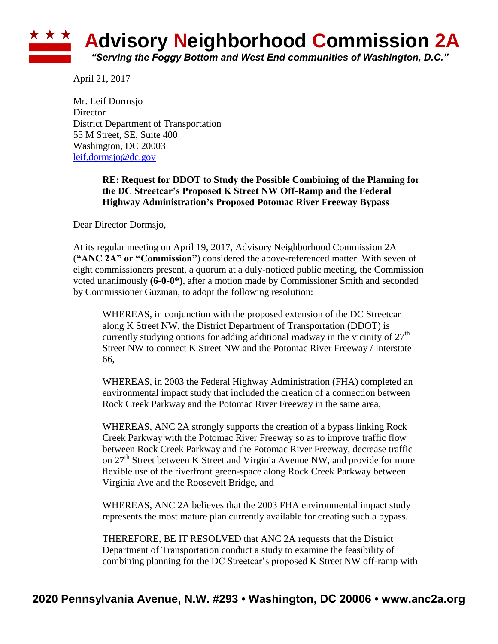## **\* \* \* Advisory Neighborhood Commission 2A** *"Serving the Foggy Bottom and West End communities of Washington, D.C."*

April 21, 2017

Mr. Leif Dormsjo **Director** District Department of Transportation 55 M Street, SE, Suite 400 Washington, DC 20003 [leif.dormsjo@dc.gov](mailto:leif.dormsjo@dc.gov)

> **RE: Request for DDOT to Study the Possible Combining of the Planning for the DC Streetcar's Proposed K Street NW Off-Ramp and the Federal Highway Administration's Proposed Potomac River Freeway Bypass**

Dear Director Dormsjo,

At its regular meeting on April 19, 2017, Advisory Neighborhood Commission 2A (**"ANC 2A" or "Commission"**) considered the above-referenced matter. With seven of eight commissioners present, a quorum at a duly-noticed public meeting, the Commission voted unanimously **(6-0-0\*)**, after a motion made by Commissioner Smith and seconded by Commissioner Guzman, to adopt the following resolution:

WHEREAS, in conjunction with the proposed extension of the DC Streetcar along K Street NW, the District Department of Transportation (DDOT) is currently studying options for adding additional roadway in the vicinity of  $27<sup>th</sup>$ Street NW to connect K Street NW and the Potomac River Freeway / Interstate 66,

WHEREAS, in 2003 the Federal Highway Administration (FHA) completed an environmental impact study that included the creation of a connection between Rock Creek Parkway and the Potomac River Freeway in the same area,

WHEREAS, ANC 2A strongly supports the creation of a bypass linking Rock Creek Parkway with the Potomac River Freeway so as to improve traffic flow between Rock Creek Parkway and the Potomac River Freeway, decrease traffic on  $27<sup>th</sup>$  Street between K Street and Virginia Avenue NW, and provide for more flexible use of the riverfront green-space along Rock Creek Parkway between Virginia Ave and the Roosevelt Bridge, and

WHEREAS, ANC 2A believes that the 2003 FHA environmental impact study represents the most mature plan currently available for creating such a bypass.

THEREFORE, BE IT RESOLVED that ANC 2A requests that the District Department of Transportation conduct a study to examine the feasibility of combining planning for the DC Streetcar's proposed K Street NW off-ramp with